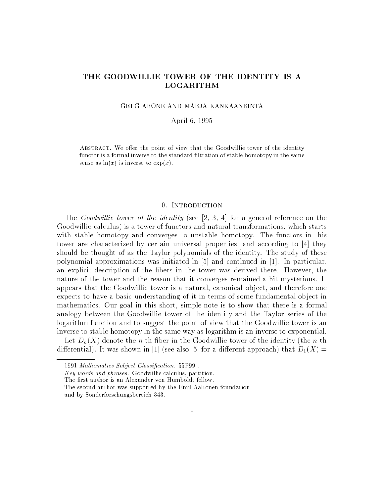## THE GOODWILLIE TOWER OF THE IDENTITY IS A LOGARITHM

GREG ARONE AND MARJA KANKAANRINTA

April 6, 1995

ABSTRACT. We offer the point of view that the Goodwillie tower of the identity functor is a formal inverse to the standard filtration of stable homotopy in the same sense as  $\ln(x)$  is inverse to  $\exp(x)$ .

## 0. INTRODUCTION

The *Goodwillie tower of the identity* (see  $[2, 3, 4]$  for a general reference on the Goodwillie calculus) is a tower of functors and natural transformations, which starts with stable homotopy and converges to unstable homotopy. The functors in this tower are characterized by certain universal properties, and according to [4] they should be thought of as the Taylor polynomials of the identity. The study of these polynomial approximations was initiated in [5] and continued in [1]. In particular, an explicit description of the bers in the tower was derived there. However, the nature of the tower and the reason that it converges remained a bit mysterious. It appears that the Goodwillie tower is a natural, canonical object, and therefore one expects to have a basic understanding of it in terms of some fundamental object in mathematics. Our goal in this short, simple note is to show that there is a formal analogy between the Goodwillie tower of the identity and the Taylor series of the logarithm function and to suggest the point of view that the Goodwillie tower is an inverse to stable homotopy in the same way as logarithm is an inverse to exponential.

Let  $D_n(X)$  denote the *n*-th fiber in the Goodwillie tower of the identity (the *n*-th differential). It was shown in [1] (see also [5] for a different approach) that  $D_1(X)$  =

<sup>1991</sup> Mathematics Subject Classification. 55P99.

Key words and phrases. Goodwillie calculus, partition.

The first author is an Alexander von Humboldt fellow.

The second author was supported by the Emil Aaltonen foundation and by Sonderforschungsbereich 343.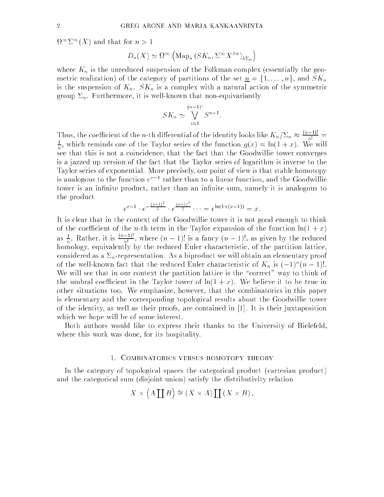$M^+ \Delta^+ (A)$  and that for  $n > 1$ 

$$
D_n(X) \simeq \Omega^{\infty} \left( \mathrm{Map}_* \left( S K_n, \Sigma^{\infty} X^{\wedge n} \right)_{h\Sigma_n} \right)
$$

where  $K_n$  is the unreduced suspension of the Folkman complex (essentially the geometric realization) of the category of partitions of the set  $n = \{1, \ldots, n\}$ , and  $SK_n$ is the suspension of  $K_n$ .  $SK_n$  is a complex with a natural action of the symmetric group  $\Sigma_n$ . Furthermore, it is well-known that non-equivariantly

$$
SK_n \simeq \bigvee_{i=1}^{(n-1)!} S^{n-1}.
$$

Thus, the coefficient of the n-th differential of the identity looks like  $K_n/\Sigma_n \approx \frac{m!}{n!} =$  $\hat{\tau}$ , which reminds one of the Taylor series of the function  $q(x) = \ln(1 + x)$ . We will se that that is not a coincidence, that the fact that the Goodwillie the Godwin is a jazzed up version of the fact that the Taylor series of logarithm is inverse to the Taylor series of exponential. More precisely, our point of view is that stable homotopy is analogous to the function  $e^-$  - rather than to a linear function, and the Goodwillie tower is an infinite product, rather than an infinite sum, namely it is analogous to the product

$$
e^{x-1} \cdot e^{-\frac{(x-1)^2}{2}} \cdot e^{\frac{(x-1)^3}{3}} \cdots = e^{\ln(1+(x-1))} = x
$$

It is clear that in the context of the Goodwillie tower it is not good enough to think of the coefficient of the *n*-th term in the Taylor expansion of the function  $\ln(1+x)$ as  $\frac{1}{n}$ . Kather, it is  $\frac{n!}{n!}$ , where  $(n-1)!$  is a fancy  $(n-1)!$ , as given by the reduced homology, equivalently by the reduced Euler characteristic, of the partition lattice, considered as a  $\Sigma_n$ -representation. As a biproduct we will obtain an elementary proof of the well-known fact that the reduced Euler characteristic of  $K_n$  is  $(-1)^n(n-1)!$ . We will see that in our context the partition lattice is the "correct" way to think of the umbral coefficient in the Taylor tower of  $\ln(1+x)$ . We believe it to be true in other situations too. We emphasize, however, that the combinatorics in this paper is elementary and the corresponding topological results about the Goodwillie tower of the identity, as well as their proofs, are contained in [1]. It is their juxtaposition which we hope will be of some interest.

Both authors would like to express their thanks to the University of Bielefeld, where this work was done, for its hospitality.

## 1. Combinatorics versus homotopy theory

In the category of topological spaces the categorical product (cartesian product) and the categorical sum (disjoint union) satisfy the distributivity relation

$$
X \times (A \coprod B) \cong (X \times A) \coprod (X \times B),
$$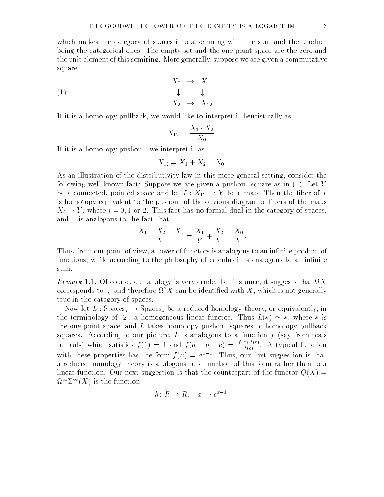which makes the category of spaces into a semiring with the sum and the product being the categorical ones. The empty set and the one-point space are the zero and the unit element of this semiring. More generally, suppose we are given a commutative square

$$
X_0 \rightarrow X_1
$$
\n
$$
\downarrow \qquad \downarrow
$$
\n
$$
X_2 \rightarrow X_{12}
$$

If it is a homotopy pullback, we would like to interpret it heuristically as

$$
X_{12} = \frac{X_1 \cdot X_2}{X_0}.
$$

If it is a homotopy pushout, we interpret it as

$$
X_{12} = X_1 + X_2 - X_0.
$$

As an illustration of the distributivity law in this more general setting, consider the following well-known fact: Suppose we are given a pushout square as in (1). Let Y be a connected, pointed space and let  $f: X_{12} \to Y$  be a map. Then the fiber of f is homotopy equivalent to the pushout of the obvious diagram of fibers of the maps  $X_i \rightarrow Y$ , where  $i = 0, 1$  or 2. This fact has no formal dual in the category of spaces, and it is analogous to the fact that

$$
\frac{X_1 + X_2 - X_0}{Y} = \frac{X_1}{Y} + \frac{X_2}{Y} - \frac{X_0}{Y}.
$$

Thus, from our point of view, a tower of functors is analogous to an infinite product of functions, while according to the philosophy of calculus it is analogous to an infinite sum.

Remark 1.1. Of course, our analogy is very crude. For instance, it suggests that X corresponds to  $\frac{1}{X}$  and therefore  $\mathcal{U}^* A$  can be identified with  $A$  , which is not generally true in the category of spaces.

Now let  $L:$  Spaces,  $\rightarrow$  Spaces, be a reduced homology theory, or equivalently, in the terminology of [2], a homogeneous linear functor. Thus  $L(*) \simeq *,$  where  $*$  is the one-point space, and  $L$  takes homotopy pushout squares to homotopy pullback squares. According to our picture,  $L$  is analogous to a function  $f$  (say from reals to reals) which satisfies  $f(1) = 1$  and  $f(a + b - c) = \frac{f(c)}{f(c)}$ . A typical function With these properties has the form  $f(x) = a^2$  . Thus, our first suggestion is that a reduced homology theory is analogous to a function of this form rather than to a linear function. Our next suggestion is that the counterpart of the functor  $Q(X)$  =  $\mathcal{U}^{\pm} \mathcal{L}^{\pm}(\mathcal{A})$  is the function

$$
h: R \to R, \quad x \mapsto e^{x-1}.
$$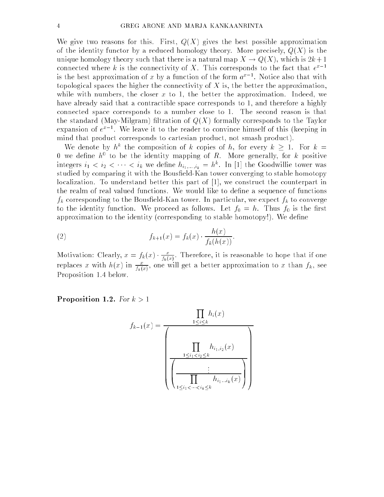We give two reasons for this. First,  $Q(X)$  gives the best possible approximation of the identity functor by a reduced homology theory. More precisely,  $Q(X)$  is the unique homology theory such that there is a natural map  $X \to Q(X)$ , which is  $2k+1$ connected where  $\kappa$  is the connectivity of  $A$ . This corresponds to the fact that  $e^-$  = is the best approximation of x by a function of the form  $a^*$   $\,$  . Notice also that with topological spaces the higher the connectivity of  $X$  is, the better the approximation, while with numbers, the closer  $x$  to 1, the better the approximation. Indeed, we have already said that a contractible space corresponds to 1, and therefore a highly connected space corresponds to a number close to 1. The second reason is that the standard (May-Milgram) filtration of  $Q(X)$  formally corresponds to the Taylor expansion of  $e^-$  . We leave it to the reader to convince nimself of this (keeping in mind that product corresponds to cartesian product, not smash product).

We denote by  $h^*$  the composition of k copies of h, for every  $\kappa > 1$ . For  $\kappa =$  $0$  we define  $n^+$  to be the identity mapping of  $R$ . More generally, for  $\kappa$  positive integers  $i_1 < i_2 < \cdots < i_k$  we define  $n_{i_1,\ldots,i_k} = n^{\cdots}$ . In [1] the Goodwillie tower was studied by comparing it with the Bousfield-Kan tower converging to stable homotopy localization. To understand better this part of [1], we construct the counterpart in the realm of real valued functions. We would like to dene a sequence of functions  $f_k$  corresponding to the Bousfield-Kan tower. In particular, we expect  $f_k$  to converge to the identity function. We proceed as follows. Let  $f_0 = h$ . Thus  $f_0$  is the first approximation to the identity (corresponding to stable homotopy!). We define

(2) 
$$
f_{k+1}(x) = f_k(x) \cdot \frac{h(x)}{f_k(h(x))}.
$$

Motivation: Clearly,  $x = f_k(x) \cdot \frac{1}{|x|}$  $f_k(x)$  . Therefore, it is reasonable to hope that if one to hope that if one to hope that if one to hope that if one to hope that if one to hope that if one to hope that if one to hope that if one to hope that if one to h replaces x with  $h(x)$  in  $\frac{1}{f(x)}$ , one will get a better approximation to x than  $f_k$ , see  $f(x) = f(x)$ Proposition 1.4 below.

Proposition 1.2. For  $k > 1$ 

$$
f_{k-1}(x) = \frac{\prod_{1 \leq i \leq k} h_i(x)}{\left(\frac{\prod_{1 \leq i_1 < i_2 \leq k} h_{i_1, i_2}(x)}{\left(\frac{\prod_{1 \leq i_1 < i_2 \leq k} h_{i_1, i_2}(x)}{\prod_{1 \leq i_1 < \dots < i_k \leq k} h_{i_1, \dots, i_k}(x)}\right)}\right)}
$$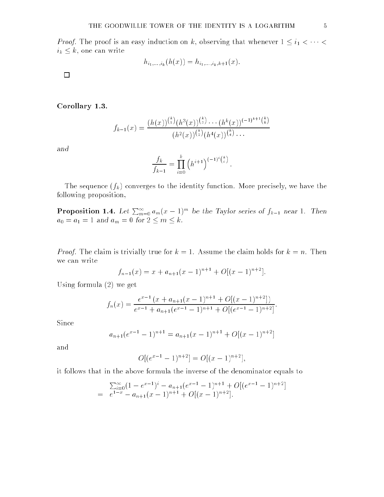Proof. The proof is an easy induction on k, observing that whenever 1 i1 <sup>&</sup>lt; <sup>&</sup>lt;  $i_k \leq k$ , one can write

$$
h_{i_1,\ldots,i_k}(h(x)) = h_{i_1,\ldots,i_k,k+1}(x).
$$

 $\Box$ 

Corollary 1.3.

$$
f_{k-1}(x) = \frac{(h(x))^{k \choose 1} (h^3(x))^{k \choose 3} \cdots (h^k(x))^{(-1)^{k+1} {k \choose k}}}{(h^2(x))^{k \choose 2} (h^4(x))^{k \choose 4} \cdots}
$$

$$
\frac{f_k}{f_{k-1}} = \prod_{i=0}^k (h^{i+1})^{(-1)^i {k \choose i}}
$$

The sequence  $(f_k)$  converges to the identity function. More precisely, we have the following proposition,

**Proposition 1.4.** Let  $\sum_{m=0}^{\infty} a_m (x-1)^m$  be the Taylor series of  $f_{k-1}$  near 1. Then  $a_0 = a_1 = 1$  and  $a_m = 0$  for  $2 \le m \le k$ .

Proof. The claim is trivially true for k = 1. Assume the claim holds for k = n. Then we can write

$$
f_{n-1}(x) = x + a_{n+1}(x-1)^{n+1} + O[(x-1)^{n+2}].
$$

Using formula (2) we get

$$
f_n(x) = \frac{e^{x-1} (x + a_{n+1}(x-1)^{n+1} + O[(x-1)^{n+2}])}{e^{x-1} + a_{n+1}(e^{x-1} - 1)^{n+1} + O[(e^{x-1} - 1)^{n+2}]}.
$$

Since

$$
a_{n+1}(e^{x-1}-1)^{n+1} = a_{n+1}(x-1)^{n+1} + O[(x-1)^{n+2}]
$$

and

$$
O[(e^{x-1}-1)^{n+2}] = O[(x-1)^{n+2}],
$$

it follows that in the above formula the inverse of the denominator equals to

$$
\sum_{i=0}^{\infty} (1 - e^{x-1})^i - a_{n+1}(e^{x-1} - 1)^{n+1} + O[(e^{x-1} - 1)^{n+2}]
$$
  
=  $e^{1-x} - a_{n+1}(x-1)^{n+1} + O[(x-1)^{n+2}].$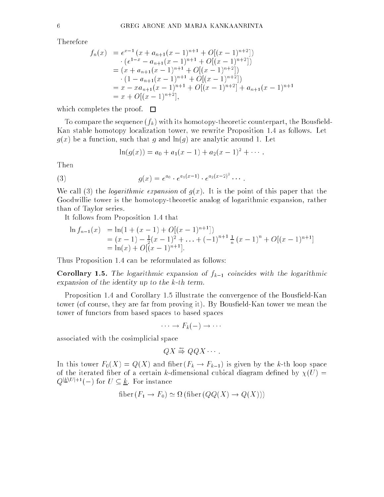Therefore

$$
f_n(x) = e^{x-1} (x + a_{n+1}(x-1)^{n+1} + O[(x-1)^{n+2}])
$$
  
\n
$$
\cdot (e^{1-x} - a_{n+1}(x-1)^{n+1} + O[(x-1)^{n+2}])
$$
  
\n
$$
= (x + a_{n+1}(x-1)^{n+1} + O[(x-1)^{n+2}])
$$
  
\n
$$
\cdot (1 - a_{n+1}(x-1)^{n+1} + O[(x-1)^{n+2}])
$$
  
\n
$$
= x - xa_{n+1}(x-1)^{n+1} + O[(x-1)^{n+2}] + a_{n+1}(x-1)^{n+1}
$$
  
\n
$$
= x + O[(x-1)^{n+2}],
$$

which completes the proof.  $\square$ 

To compare the sequence  $(f_k)$  with its homotopy-theoretic counterpart, the Bousfield-Kan stable homotopy localization tower, we rewrite Proposition 1.4 as follows. Let  $g(x)$  be a function, such that g and  $\ln(g)$  are analytic around 1. Let

$$
\ln(g(x)) = a_0 + a_1(x - 1) + a_2(x - 1)^2 + \cdots
$$

Then

(3) 
$$
g(x) = e^{a_0} \cdot e^{a_1(x-1)} \cdot e^{a_2(x-2)^2} \cdots
$$

We call (3) the *logarithmic expansion* of  $g(x)$ . It is the point of this paper that the Goodwillie tower is the homotopy-theoretic analog of logarithmic expansion, rather than of Taylor series.

It follows from Proposition 1.4 that

$$
\ln f_{n-1}(x) = \ln(1 + (x - 1) + O[(x - 1)^{n+1}])
$$
  
=  $(x - 1) - \frac{1}{2}(x - 1)^2 + \dots + (-1)^{n+1} \frac{1}{n}(x - 1)^n + O[(x - 1)^{n+1}]$   
=  $\ln(x) + O[(x - 1)^{n+1}].$ 

Thus Proposition 1.4 can be reformulated as follows:

**Corollary 1.5.** The logarithmic expansion of  $f_{k-1}$  coincides with the logarithmic expansion of the identity up to the k-th term.

Proposition 1.4 and Corollary 1.5 illustrate the convergence of the Bousfield-Kan tower (of course, they are far from proving it). By Bousfield-Kan tower we mean the tower of functors from based spaces to based spaces

 $F(x) = f(x)$  is the set of  $F(x)$ 

associated with the cosimplicial space

$$
QX \stackrel{\sim}{\Rightarrow} QQX \cdots.
$$

In this tower  $F_0(X) = Q(X)$  and fiber  $(F_k \to F_{k-1})$  is given by the k-th loop space of the iterated fiber of a certain k-dimensional cubical diagram defined by  $\chi(U)$  =  $Q^{\underline{k} \setminus U \underline{l+1}}(-)$  for  $U \subseteq \underline{k}$ . For instance

$$
fiber(F_1 \to F_0) \simeq \Omega (fiber(QQ(X) \to Q(X)))
$$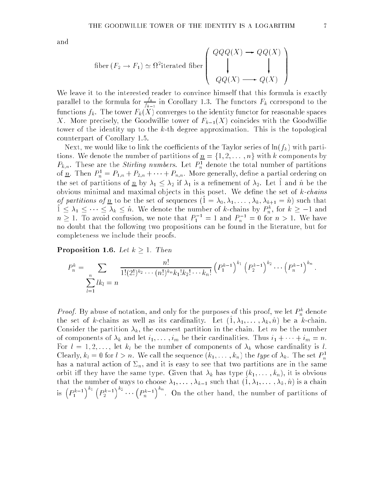and

$$
\text{fiber}(F_2 \to F_1) \simeq \Omega^2 \text{iterated fiber} \begin{pmatrix} QQQ(X) \to QQ(X) \\ \downarrow \\ QQ(X) \longrightarrow Q(X) \end{pmatrix}
$$

We leave it to the interested reader to convince himself that this formula is exactly parallel to the formula for  $\frac{1}{f_{k-1}}$  in Corollary 1.3. The functors  $F_k$  correspond to the functions  $f_k$ . The tower  $F_k(X)$  converges to the identity functor for reasonable spaces X. More precisely, the Goodwillie tower of  $F_{k-1}(X)$  coincides with the Goodwillie tower of the identity up to the k-th degree approximation. This is the topological counterpart of Corollary 1.5.

Next, we would like to link the coefficients of the Taylor series of  $\ln(f_k)$  with partitions. We denote the number of partitions of n <sup>=</sup> f1; 2; : : : ; ng with <sup>k</sup> components by  $P_{k,n}$ . These are the *Surting numbers*. Let  $P_n$  denote the total number of partitions of  $\underline{n}$ . Then  $F_n^* = F_{1,n} + F_{2,n} + \cdots + F_{n,n}$  . More generally, define a partial ordering on the set of partitions of  $\underline{n}$  by  $\lambda_1 \leq \lambda_2$  if  $\lambda_1$  is a refinement of  $\lambda_2$ . Let  $\hat{1}$  and  $\hat{n}$  be the obvious minimal and maximal objects in this poset. We define the set of  $k$ -chains *of partitions of*  $\frac{n}{2}$  to be the set of sequences  $(1 = \lambda_0, \lambda_1, \ldots, \lambda_k, \lambda_{k+1} = n)$  such that  $1 \leq \lambda_1 \leq \cdots \leq \lambda_k \leq n$ . We denote the number of k-chains by  $P_n^*$ , for  $k \geq -1$  and  $n \geq 1$ . To avoid confusion, we note that  $P_1$  =  $\perp$  and  $P_n$  = 0 for  $n > 1$ . We have no doubt that the following two propositions can be found in the literature, but for completeness we include their proofs.

**Proposition 1.6.** Let  $k \geq 1$ . Then

$$
P_n^k = \sum_{\substack{n \\ l=1}} \frac{n!}{l!(2!)^{k_2} \cdots (n!)^{k_n} k_1! k_2! \cdots k_n!} \left( P_1^{k-1} \right)^{k_1} \left( P_2^{k-1} \right)^{k_2} \cdots \left( P_n^{k-1} \right)^{k_n}
$$

*Proof.* By abuse of notation, and only for the purposes of this proof, we let  $P_n^{\pi}$  denote the set of k-chains as well as its cardinality. Let  $(1; \lambda_1, \ldots, \lambda_k, \hat{n})$  be a k-chain. Consider the partition  $\lambda_k$ , the coarsest partition in the chain. Let m be the number of components of  $\lambda_k$  and let  $i_1, \ldots, i_m$  be their cardinalities. Thus  $i_1 + \cdots + i_m = n$ . For  $l = 1, 2, \ldots$ , let  $k_l$  be the number of components of  $\lambda_k$  whose cardinality is l. Clearly,  $\kappa_l = 0$  for  $l > n$ . We call the sequence  $(\kappa_1, \ldots, \kappa_n)$  the type of  $\lambda_k$ . The set  $P_n$ has a natural action of  $\Sigma_n$ , and it is easy to see that two partitions are in the same orbit iff they have the same type. Given that  $\lambda_k$  has type  $(k_1, \ldots, k_n)$ , it is obvious that the number of ways to choose  $\lambda_1, \ldots, \lambda_{k-1}$  such that  $(1, \lambda_1, \ldots, \lambda_k, \hat{n})$  is a chain is  $\left(P_1^{k-1}\right)$  $\Big)^{\kappa_1}\,\big(P_2^{k-1}$ \ ^ 2  $\cdots (P_n^{k-1})$  $\sqrt{\kappa_n}$ . On the other hand, the other hand, the number of partitions of partitions of partitions of partitions of par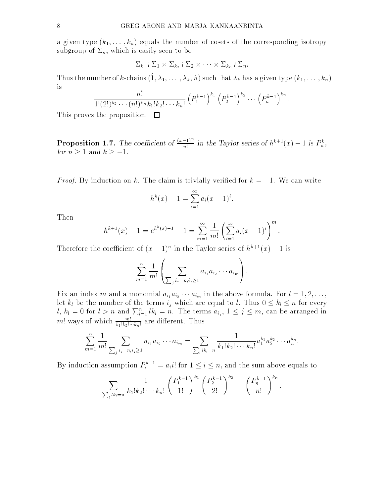a given type  $(k_1, \ldots, k_n)$  equals the number of cosets of the corresponding isotropy subgroup of  $\Sigma_n$ , which is easily seen to be

$$
\Sigma_{k_1} \wr \Sigma_1 \times \Sigma_{k_2} \wr \Sigma_2 \times \cdots \times \Sigma_{k_n} \wr \Sigma_n.
$$

Thus the number of k-chains  $(\hat{1}, \lambda_1, \ldots, \lambda_k, \hat{n})$  such that  $\lambda_k$  has a given type  $(k_1, \ldots, k_n)$ is

$$
\frac{n!}{1!(2!)^{k_2}\cdots (n!)^{k_n}k_1!k_2!\cdots k_n!} \left(P_1^{k-1}\right)^{k_1} \left(P_2^{k-1}\right)^{k_2} \cdots \left(P_n^{k-1}\right)^{k_n}
$$

This proves the proposition.  $\square$ 

**Proposition 1.7.** The coefficient of  $\frac{(x-1)^n}{n!}$  in the Taylor series of  $h^{k+1}(x) - 1$  is  $P_n^k$ ,

Proof. By induction on k. The claim is trivially veried for k = 1. We can write

$$
h^{k}(x) - 1 = \sum_{i=1}^{\infty} a_{i}(x - 1)^{i}.
$$

Then

$$
h^{k+1}(x) - 1 = e^{h^k(x)-1} - 1 = \sum_{m=1}^{\infty} \frac{1}{m!} \left( \sum_{i=1}^{\infty} a_i (x-1)^i \right)^m.
$$

Therefore the coefficient of  $(x - 1)^n$  in the Taylor series of  $h^{n+1}(x) - 1$  is

 $\overline{\phantom{a}}$ 

$$
\sum_{m=1}^{n} \frac{1}{m!} \left( \sum_{\sum_{j} i_j = n, i_j \geq 1} a_{i_1} a_{i_2} \cdots a_{i_m} \right).
$$

 $\sim$ 

:

 $F$  and independent mandate formula. For l  $\{1:L\}$  and  $\{m\}$  and the above formula. For  $\{1:L\}$ let  $k_l$  be the number of the terms  $i_j$  which are equal to l. Thus  $0 \leq k_l \leq n$  for every  $l, k_l = 0$  for  $l > n$  and  $\sum_{l=1}^n lk_l = n$ . The terms  $a_{i_j}, 1 \leq j \leq m$ , can be arranged in  $m!$  ways of which  $\frac{1}{k_1! k_2! \cdots k_n!}$  are different. Thus

$$
\sum_{m=1}^n \frac{1}{m!} \sum_{\sum_j i_j = n, i_j \ge 1} a_{i_1} a_{i_2} \cdots a_{i_m} = \sum_{\sum_l l k_l = n} \frac{1}{k_1! k_2! \cdots k_n!} a_1^{k_1} a_2^{k_2} \cdots a_n^{k_n}.
$$

By induction assumption  $P_i^{\pi-1} = a_i i!$  for  $1 \leq i \leq n$ , and the sum above equals to

$$
\sum_{\substack{k_1=k_1 \ n \text{ odd}}} \frac{1}{k_1! k_2! \cdots k_n!} \left(\frac{P_1^{k-1}}{1!}\right)^{k_1} \left(\frac{P_2^{k-1}}{2!}\right)^{k_2} \cdots \left(\frac{P_n^{k-1}}{n!}\right)^{k_n}
$$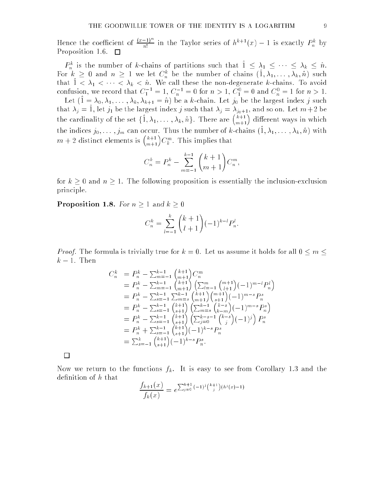Hence the coefficient of  $\frac{(x-1)^n}{n!}$  in the Taylor series of  $h^{k+1}(x) - 1$  is exactly  $P_n^k$  by Proposition 1.6.  $\Box$ 

 $P_n^n$  is the number of k-chains of partitions such that  $1 \leq \lambda_1 \leq \cdots \leq \lambda_k \leq n$ . For  $\kappa \geq 0$  and  $n \geq 1$  we let  $C_n$  be the number of chains  $(1, \lambda_1, \ldots, \lambda_k, n)$  such  $t_{\text{max}}$   $1 \leq \Delta_1 \leq \cdots \leq \Delta_k \leq n$ . We call these the non-degenerate *k*-chains. To avoid confusion, we record that  $C_1^- = 1, C_n^+ = 0$  for  $n > 1, C_1^+ = 0$  and  $C_n^+ = 1$  for  $n > 1$ .

Let  $(1 - \lambda_0, \lambda_1, \ldots, \lambda_k, \lambda_{k+1} - n)$  be a k-chain. Let  $j_0$  be the largest index j such that  $\lambda_j = 1$ , let  $j_1$  be the largest index j such that  $\lambda_j = \lambda_{j_0+1}$ , and so on. Let  $m+2$  be the cardinality of the set  $\{\hat{1}, \lambda_1, \ldots, \lambda_k, \hat{n}\}.$  There are  $\binom{k+1}{m+1}$  different ways in which the indices  $j_0, \ldots, j_m$  can occur. Thus the number of k-chains  $(\hat{1}, \lambda_1, \ldots, \lambda_k, \hat{n})$  with  $m+2$  distinct elements is  $\binom{k+1}{m+1}C_k^m$ . This implies that

$$
C_n^k = P_n^k - \sum_{m=-1}^{k-1} \binom{k+1}{m+1} C_n^m,
$$

for  $k \geq 0$  and  $n \geq 1$ . The following proposition is essentially the inclusion-exclusion principle.

**Proposition 1.8.** For  $n \geq 1$  and  $k \geq 0$ 

$$
C_n^k = \sum_{l=-1}^k {k+1 \choose l+1} (-1)^{k-l} P_n^l.
$$

Proof. The formula is trivially true for k = 0. Let us assume it holds for all 0 m  $k-1$ . Then

$$
C_n^k = P_n^k - \sum_{m=-1}^{k-1} {k+1 \choose m+1} C_n^m
$$
  
\n
$$
= P_n^k - \sum_{m=-1}^{k-1} {k+1 \choose m+1} (\sum_{l=-1}^m {m+1 \choose l+1} (-1)^{m-l} P_n^l)
$$
  
\n
$$
= P_n^k - \sum_{s=-1}^{k-1} \sum_{m=s}^{k-1} {k+1 \choose m+1} {m+1 \choose s+1} (-1)^{m-s} P_n^s
$$
  
\n
$$
= P_n^k - \sum_{s=-1}^{k-1} {k+1 \choose s+1} (\sum_{m=s}^{k-1} {k-s \choose k-m} (-1)^{m-s} P_n^s)
$$
  
\n
$$
= P_n^k - \sum_{s=-1}^{k-1} {k+1 \choose s+1} (\sum_{j=0}^{k-s-1} {k-s \choose j} (-1)^j) P_n^s
$$
  
\n
$$
= P_n^k + \sum_{s=-1}^{k-1} {k+1 \choose s+1} (-1)^{k-s} P_n^s
$$
  
\n
$$
= \sum_{s=-1}^k {k+1 \choose s+1} (-1)^{k-s} P_n^s.
$$

Now we return to the functions  $f_k$ . It is easy to see from Corollary 1.3 and the definition of h that

$$
\frac{f_{k+1}(x)}{f_k(x)} = e^{\sum_{j=0}^{k+1} (-1)^j {k+1 \choose j} (h^j(x)-1)}
$$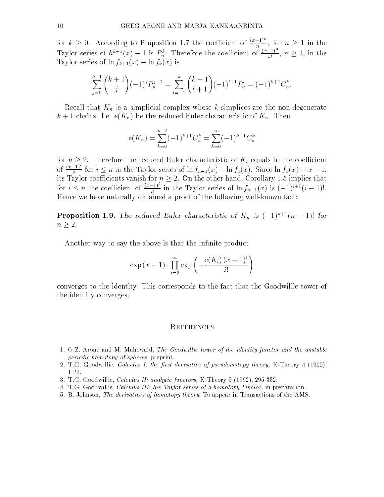for  $k \geq 0$ . According to Proposition 1.7 the coefficient of  $\frac{(x-1)^n}{n!}$ , for  $n \geq 1$  in the Taylor series of  $h^{k+1}(x) - 1$  is  $P_n^k$ . Therefore the coefficient of  $\frac{x-1}{n!}$ ,  $n \geq 1$ , in the Taylor series of  $\ln f_{k+1}(x) - \ln f_k(x)$  is

$$
\sum_{j=0}^{k+1} {k+1 \choose j} (-1)^j P_n^{j-1} = \sum_{l=-1}^k {k+1 \choose l+1} (-1)^{l+1} P_n^l = (-1)^{k+1} C_n^k.
$$

Recall that  $K_n$  is a simplicial complex whose k-simplices are the non-degenerate  $k+1$  chains. Let  $e(K_n)$  be the reduced Euler characteristic of  $K_n$ . Then

$$
e(K_n) = \sum_{k=0}^{n-2} (-1)^{k+1} C_n^k = \sum_{k=0}^{\infty} (-1)^{k+1} C_n^k
$$

for  $n \geq 2$ . Therefore the reduced Euler characteristic of  $K_i$  equals to the coefficient of  $\frac{x-1}{i!}$  for  $i \leq n$  in the Taylor series of  $\ln f_{n-1}(x) - \ln f_0(x)$ . Since  $\ln f_0(x) = x - 1$ , its Taylor coecients vanish for n 2. On the other hand, Corollary 1.5 implies that for  $i \leq n$  the coefficient of  $\frac{(x-1)}{i!}$  in the Taylor series of  $\ln f_{n-1}(x)$  is  $(-1)^{i+1}(i-1)!$ . Hence we have naturally obtained a proof of the following well-known fact:

**Proposition 1.9.** The reduced Euler characteristic of  $K_n$  is  $(-1)^{n+1}(n-1)!$  for  $n \geq 2$ .

Another way to say the above is that the infinite product

$$
\exp\left(x-1\right) \cdot \prod_{i=2}^{\infty} \exp\left(-\frac{e(K_i)\left(x-1\right)^i}{i!}\right)
$$

converges to the identity. This corresponds to the fact that the Goodwillie tower of the identity converges.

## **REFERENCES**

- 1. G.Z. Arone and M. Mahowald, The Goodwillie tower of the identity functor and the unstable periodic homotopy of spheres, preprint.
- 2. T.G. Goodwillie, Calculus I: the first derivative of pseudoisotopy theory, K-Theory 4 (1990), 1-27.
- 3. T.G. Goodwillie, Calculus II: analytic functors, K-Theory 5 (1992), 295-332.
- 4. T.G. Goodwillie, Calculus III: the Taylor series of a homotopy functor, in preparation.
- 5. B. Johnson, The derivatives of homotopy theory, To appear in Transactions of the AMS.